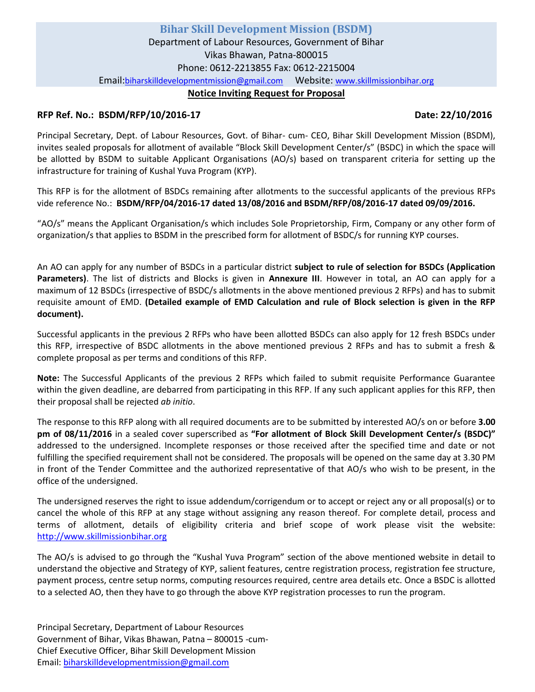# **RFP Ref. No.: BSDM/RFP/10/2016-17 Date: 22/10/2016**

Principal Secretary, Dept. of Labour Resources, Govt. of Bihar- cum- CEO, Bihar Skill Development Mission (BSDM), invites sealed proposals for allotment of available "Block Skill Development Center/s" (BSDC) in which the space will be allotted by BSDM to suitable Applicant Organisations (AO/s) based on transparent criteria for setting up the infrastructure for training of Kushal Yuva Program (KYP).

This RFP is for the allotment of BSDCs remaining after allotments to the successful applicants of the previous RFPs vide reference No.: **BSDM/RFP/04/2016-17 dated 13/08/2016 and BSDM/RFP/08/2016-17 dated 09/09/2016.**

"AO/s" means the Applicant Organisation/s which includes Sole Proprietorship, Firm, Company or any other form of organization/s that applies to BSDM in the prescribed form for allotment of BSDC/s for running KYP courses.

An AO can apply for any number of BSDCs in a particular district **subject to rule of selection for BSDCs (Application Parameters)**. The list of districts and Blocks is given in **Annexure III**. However in total, an AO can apply for a maximum of 12 BSDCs (irrespective of BSDC/s allotments in the above mentioned previous 2 RFPs) and has to submit requisite amount of EMD. **(Detailed example of EMD Calculation and rule of Block selection is given in the RFP document).**

Successful applicants in the previous 2 RFPs who have been allotted BSDCs can also apply for 12 fresh BSDCs under this RFP, irrespective of BSDC allotments in the above mentioned previous 2 RFPs and has to submit a fresh & complete proposal as per terms and conditions of this RFP.

**Note:** The Successful Applicants of the previous 2 RFPs which failed to submit requisite Performance Guarantee within the given deadline, are debarred from participating in this RFP. If any such applicant applies for this RFP, then their proposal shall be rejected *ab initio*.

The response to this RFP along with all required documents are to be submitted by interested AO/s on or before **3.00 pm of 08/11/2016** in a sealed cover superscribed as **"For allotment of Block Skill Development Center/s (BSDC)"** addressed to the undersigned. Incomplete responses or those received after the specified time and date or not fulfilling the specified requirement shall not be considered. The proposals will be opened on the same day at 3.30 PM in front of the Tender Committee and the authorized representative of that AO/s who wish to be present, in the office of the undersigned.

The undersigned reserves the right to issue addendum/corrigendum or to accept or reject any or all proposal(s) or to cancel the whole of this RFP at any stage without assigning any reason thereof. For complete detail, process and terms of allotment, details of eligibility criteria and brief scope of work please visit the website: [http://www.skillmissionbihar.org](http://www.skillmissionbihar.org/)

The AO/s is advised to go through the "Kushal Yuva Program" section of the above mentioned website in detail to understand the objective and Strategy of KYP, salient features, centre registration process, registration fee structure, payment process, centre setup norms, computing resources required, centre area details etc. Once a BSDC is allotted to a selected AO, then they have to go through the above KYP registration processes to run the program.

Principal Secretary, Department of Labour Resources Government of Bihar, Vikas Bhawan, Patna – 800015 -cum-Chief Executive Officer, Bihar Skill Development Mission Email[: biharskilldevelopmentmission@gmail.com](mailto:biharskilldevelopmentmission@gmail.com)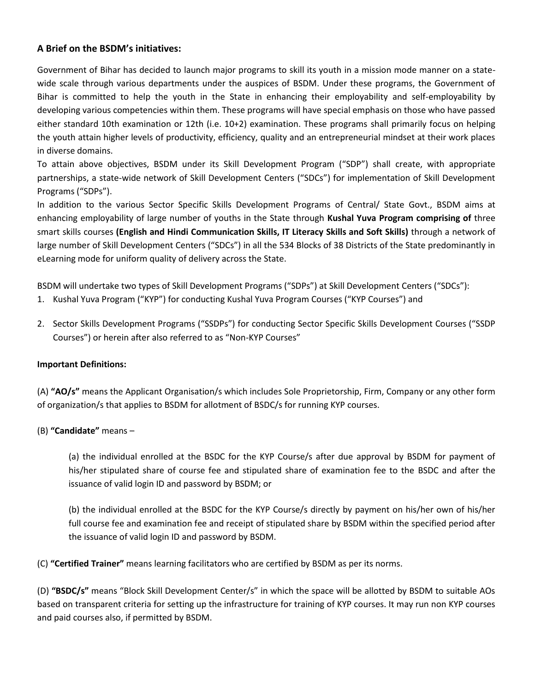# **A Brief on the BSDM's initiatives:**

Government of Bihar has decided to launch major programs to skill its youth in a mission mode manner on a statewide scale through various departments under the auspices of BSDM. Under these programs, the Government of Bihar is committed to help the youth in the State in enhancing their employability and self-employability by developing various competencies within them. These programs will have special emphasis on those who have passed either standard 10th examination or 12th (i.e. 10+2) examination. These programs shall primarily focus on helping the youth attain higher levels of productivity, efficiency, quality and an entrepreneurial mindset at their work places in diverse domains.

To attain above objectives, BSDM under its Skill Development Program ("SDP") shall create, with appropriate partnerships, a state-wide network of Skill Development Centers ("SDCs") for implementation of Skill Development Programs ("SDPs").

In addition to the various Sector Specific Skills Development Programs of Central/ State Govt., BSDM aims at enhancing employability of large number of youths in the State through **Kushal Yuva Program comprising of** three smart skills courses **(English and Hindi Communication Skills, IT Literacy Skills and Soft Skills)** through a network of large number of Skill Development Centers ("SDCs") in all the 534 Blocks of 38 Districts of the State predominantly in eLearning mode for uniform quality of delivery across the State.

BSDM will undertake two types of Skill Development Programs ("SDPs") at Skill Development Centers ("SDCs"):

- 1. Kushal Yuva Program ("KYP") for conducting Kushal Yuva Program Courses ("KYP Courses") and
- 2. Sector Skills Development Programs ("SSDPs") for conducting Sector Specific Skills Development Courses ("SSDP Courses") or herein after also referred to as "Non-KYP Courses"

# **Important Definitions:**

(A) **"AO/s"** means the Applicant Organisation/s which includes Sole Proprietorship, Firm, Company or any other form of organization/s that applies to BSDM for allotment of BSDC/s for running KYP courses.

# (B) **"Candidate"** means –

(a) the individual enrolled at the BSDC for the KYP Course/s after due approval by BSDM for payment of his/her stipulated share of course fee and stipulated share of examination fee to the BSDC and after the issuance of valid login ID and password by BSDM; or

(b) the individual enrolled at the BSDC for the KYP Course/s directly by payment on his/her own of his/her full course fee and examination fee and receipt of stipulated share by BSDM within the specified period after the issuance of valid login ID and password by BSDM.

(C) **"Certified Trainer"** means learning facilitators who are certified by BSDM as per its norms.

(D) **"BSDC/s"** means "Block Skill Development Center/s" in which the space will be allotted by BSDM to suitable AOs based on transparent criteria for setting up the infrastructure for training of KYP courses. It may run non KYP courses and paid courses also, if permitted by BSDM.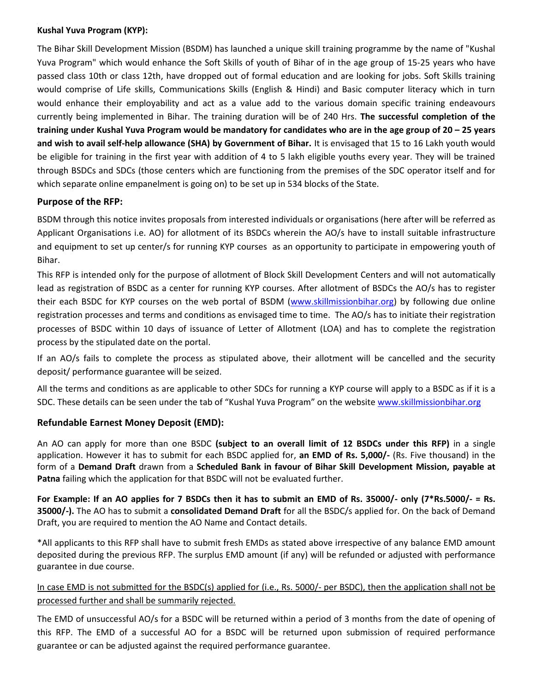## **Kushal Yuva Program (KYP):**

The Bihar Skill Development Mission (BSDM) has launched a unique skill training programme by the name of "Kushal Yuva Program" which would enhance the Soft Skills of youth of Bihar of in the age group of 15-25 years who have passed class 10th or class 12th, have dropped out of formal education and are looking for jobs. Soft Skills training would comprise of Life skills, Communications Skills (English & Hindi) and Basic computer literacy which in turn would enhance their employability and act as a value add to the various domain specific training endeavours currently being implemented in Bihar. The training duration will be of 240 Hrs. **The successful completion of the training under Kushal Yuva Program would be mandatory for candidates who are in the age group of 20 – 25 years and wish to avail self-help allowance (SHA) by Government of Bihar.** It is envisaged that 15 to 16 Lakh youth would be eligible for training in the first year with addition of 4 to 5 lakh eligible youths every year. They will be trained through BSDCs and SDCs (those centers which are functioning from the premises of the SDC operator itself and for which separate online empanelment is going on) to be set up in 534 blocks of the State.

# **Purpose of the RFP:**

BSDM through this notice invites proposals from interested individuals or organisations (here after will be referred as Applicant Organisations i.e. AO) for allotment of its BSDCs wherein the AO/s have to install suitable infrastructure and equipment to set up center/s for running KYP courses as an opportunity to participate in empowering youth of Bihar.

This RFP is intended only for the purpose of allotment of Block Skill Development Centers and will not automatically lead as registration of BSDC as a center for running KYP courses. After allotment of BSDCs the AO/s has to register their each BSDC for KYP courses on the web portal of BSDM [\(www.skillmissionbihar.org\)](http://www.skillmissionbihar.org/) by following due online registration processes and terms and conditions as envisaged time to time. The AO/s has to initiate their registration processes of BSDC within 10 days of issuance of Letter of Allotment (LOA) and has to complete the registration process by the stipulated date on the portal.

If an AO/s fails to complete the process as stipulated above, their allotment will be cancelled and the security deposit/ performance guarantee will be seized.

All the terms and conditions as are applicable to other SDCs for running a KYP course will apply to a BSDC as if it is a SDC. These details can be seen under the tab of "Kushal Yuva Program" on the website [www.skillmissionbihar.org](http://www.skillmissionbihar.org/)

# **Refundable Earnest Money Deposit (EMD):**

An AO can apply for more than one BSDC **(subject to an overall limit of 12 BSDCs under this RFP)** in a single application. However it has to submit for each BSDC applied for, **an EMD of Rs. 5,000/-** (Rs. Five thousand) in the form of a **Demand Draft** drawn from a **Scheduled Bank in favour of Bihar Skill Development Mission, payable at Patna** failing which the application for that BSDC will not be evaluated further.

**For Example: If an AO applies for 7 BSDCs then it has to submit an EMD of Rs. 35000/- only (7\*Rs.5000/- = Rs. 35000/-).** The AO has to submit a **consolidated Demand Draft** for all the BSDC/s applied for. On the back of Demand Draft, you are required to mention the AO Name and Contact details.

\*All applicants to this RFP shall have to submit fresh EMDs as stated above irrespective of any balance EMD amount deposited during the previous RFP. The surplus EMD amount (if any) will be refunded or adjusted with performance guarantee in due course.

# In case EMD is not submitted for the BSDC(s) applied for (i.e., Rs. 5000/- per BSDC), then the application shall not be processed further and shall be summarily rejected.

The EMD of unsuccessful AO/s for a BSDC will be returned within a period of 3 months from the date of opening of this RFP. The EMD of a successful AO for a BSDC will be returned upon submission of required performance guarantee or can be adjusted against the required performance guarantee.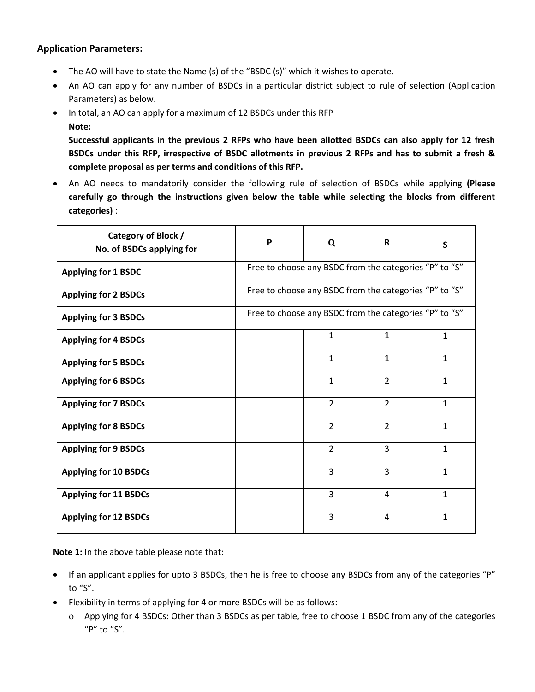# **Application Parameters:**

- The AO will have to state the Name (s) of the "BSDC (s)" which it wishes to operate.
- An AO can apply for any number of BSDCs in a particular district subject to rule of selection (Application Parameters) as below.
- In total, an AO can apply for a maximum of 12 BSDCs under this RFP **Note:**

**Successful applicants in the previous 2 RFPs who have been allotted BSDCs can also apply for 12 fresh BSDCs under this RFP, irrespective of BSDC allotments in previous 2 RFPs and has to submit a fresh & complete proposal as per terms and conditions of this RFP.**

 An AO needs to mandatorily consider the following rule of selection of BSDCs while applying **(Please carefully go through the instructions given below the table while selecting the blocks from different categories)** :

| Category of Block /<br>No. of BSDCs applying for | P                                                      | Q              | R              | S            |
|--------------------------------------------------|--------------------------------------------------------|----------------|----------------|--------------|
| <b>Applying for 1 BSDC</b>                       | Free to choose any BSDC from the categories "P" to "S" |                |                |              |
| <b>Applying for 2 BSDCs</b>                      | Free to choose any BSDC from the categories "P" to "S" |                |                |              |
| <b>Applying for 3 BSDCs</b>                      | Free to choose any BSDC from the categories "P" to "S" |                |                |              |
| <b>Applying for 4 BSDCs</b>                      |                                                        | $\mathbf{1}$   | $\mathbf{1}$   | $\mathbf{1}$ |
| <b>Applying for 5 BSDCs</b>                      |                                                        | $\mathbf{1}$   | $\mathbf{1}$   | $\mathbf{1}$ |
| <b>Applying for 6 BSDCs</b>                      |                                                        | $\mathbf{1}$   | $\overline{2}$ | $\mathbf 1$  |
| <b>Applying for 7 BSDCs</b>                      |                                                        | $\overline{2}$ | $\overline{2}$ | $\mathbf{1}$ |
| <b>Applying for 8 BSDCs</b>                      |                                                        | $\overline{2}$ | $\overline{2}$ | $\mathbf{1}$ |
| <b>Applying for 9 BSDCs</b>                      |                                                        | 2              | 3              | $\mathbf{1}$ |
| <b>Applying for 10 BSDCs</b>                     |                                                        | 3              | 3              | $\mathbf{1}$ |
| <b>Applying for 11 BSDCs</b>                     |                                                        | 3              | 4              | $\mathbf{1}$ |
| <b>Applying for 12 BSDCs</b>                     |                                                        | 3              | 4              | $\mathbf{1}$ |

**Note 1:** In the above table please note that:

- If an applicant applies for upto 3 BSDCs, then he is free to choose any BSDCs from any of the categories "P" to "S".
- Flexibility in terms of applying for 4 or more BSDCs will be as follows:
	- Applying for 4 BSDCs: Other than 3 BSDCs as per table, free to choose 1 BSDC from any of the categories "P" to "S".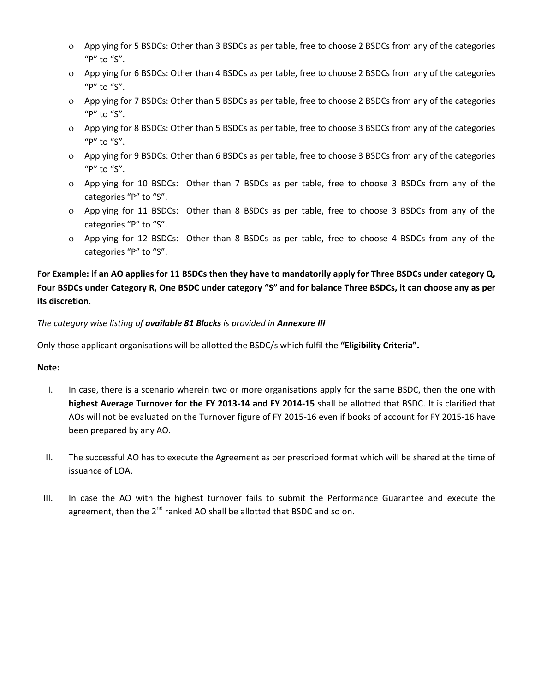- Applying for 5 BSDCs: Other than 3 BSDCs as per table, free to choose 2 BSDCs from any of the categories "P" to "S".
- Applying for 6 BSDCs: Other than 4 BSDCs as per table, free to choose 2 BSDCs from any of the categories "P" to "S".
- Applying for 7 BSDCs: Other than 5 BSDCs as per table, free to choose 2 BSDCs from any of the categories "P" to "S".
- Applying for 8 BSDCs: Other than 5 BSDCs as per table, free to choose 3 BSDCs from any of the categories "P" to "S".
- Applying for 9 BSDCs: Other than 6 BSDCs as per table, free to choose 3 BSDCs from any of the categories "P" to "S".
- Applying for 10 BSDCs: Other than 7 BSDCs as per table, free to choose 3 BSDCs from any of the categories "P" to "S".
- Applying for 11 BSDCs: Other than 8 BSDCs as per table, free to choose 3 BSDCs from any of the categories "P" to "S".
- Applying for 12 BSDCs: Other than 8 BSDCs as per table, free to choose 4 BSDCs from any of the categories "P" to "S".

**For Example: if an AO applies for 11 BSDCs then they have to mandatorily apply for Three BSDCs under category Q, Four BSDCs under Category R, One BSDC under category "S" and for balance Three BSDCs, it can choose any as per its discretion.** 

*The category wise listing of available 81 Blocks is provided in Annexure III*

Only those applicant organisations will be allotted the BSDC/s which fulfil the **"Eligibility Criteria".**

#### **Note:**

- I. In case, there is a scenario wherein two or more organisations apply for the same BSDC, then the one with **highest Average Turnover for the FY 2013-14 and FY 2014-15** shall be allotted that BSDC. It is clarified that AOs will not be evaluated on the Turnover figure of FY 2015-16 even if books of account for FY 2015-16 have been prepared by any AO.
- II. The successful AO has to execute the Agreement as per prescribed format which will be shared at the time of issuance of LOA.
- III. In case the AO with the highest turnover fails to submit the Performance Guarantee and execute the agreement, then the 2<sup>nd</sup> ranked AO shall be allotted that BSDC and so on.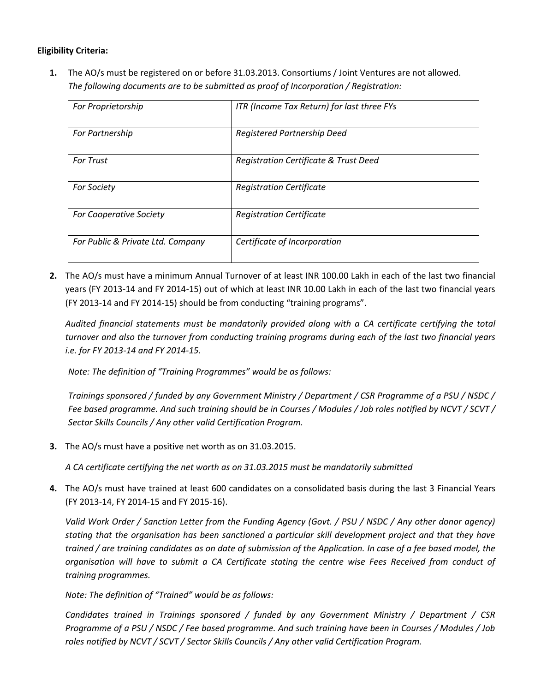## **Eligibility Criteria:**

**1.** The AO/s must be registered on or before 31.03.2013. Consortiums / Joint Ventures are not allowed. *The following documents are to be submitted as proof of Incorporation / Registration:*

| For Proprietorship                | ITR (Income Tax Return) for last three FYs |
|-----------------------------------|--------------------------------------------|
| For Partnership                   | Registered Partnership Deed                |
| <b>For Trust</b>                  | Registration Certificate & Trust Deed      |
| <b>For Society</b>                | <b>Registration Certificate</b>            |
| For Cooperative Society           | <b>Registration Certificate</b>            |
| For Public & Private Ltd. Company | Certificate of Incorporation               |

**2.** The AO/s must have a minimum Annual Turnover of at least INR 100.00 Lakh in each of the last two financial years (FY 2013-14 and FY 2014-15) out of which at least INR 10.00 Lakh in each of the last two financial years (FY 2013-14 and FY 2014-15) should be from conducting "training programs".

*Audited financial statements must be mandatorily provided along with a CA certificate certifying the total turnover and also the turnover from conducting training programs during each of the last two financial years i.e. for FY 2013-14 and FY 2014-15.*

*Note: The definition of "Training Programmes" would be as follows:*

*Trainings sponsored / funded by any Government Ministry / Department / CSR Programme of a PSU / NSDC / Fee based programme. And such training should be in Courses / Modules / Job roles notified by NCVT / SCVT / Sector Skills Councils / Any other valid Certification Program.*

**3.** The AO/s must have a positive net worth as on 31.03.2015.

*A CA certificate certifying the net worth as on 31.03.2015 must be mandatorily submitted*

**4.** The AO/s must have trained at least 600 candidates on a consolidated basis during the last 3 Financial Years (FY 2013-14, FY 2014-15 and FY 2015-16).

*Valid Work Order / Sanction Letter from the Funding Agency (Govt. / PSU / NSDC / Any other donor agency) stating that the organisation has been sanctioned a particular skill development project and that they have trained / are training candidates as on date of submission of the Application. In case of a fee based model, the organisation will have to submit a CA Certificate stating the centre wise Fees Received from conduct of training programmes.*

*Note: The definition of "Trained" would be as follows:*

*Candidates trained in Trainings sponsored / funded by any Government Ministry / Department / CSR Programme of a PSU / NSDC / Fee based programme. And such training have been in Courses / Modules / Job roles notified by NCVT / SCVT / Sector Skills Councils / Any other valid Certification Program.*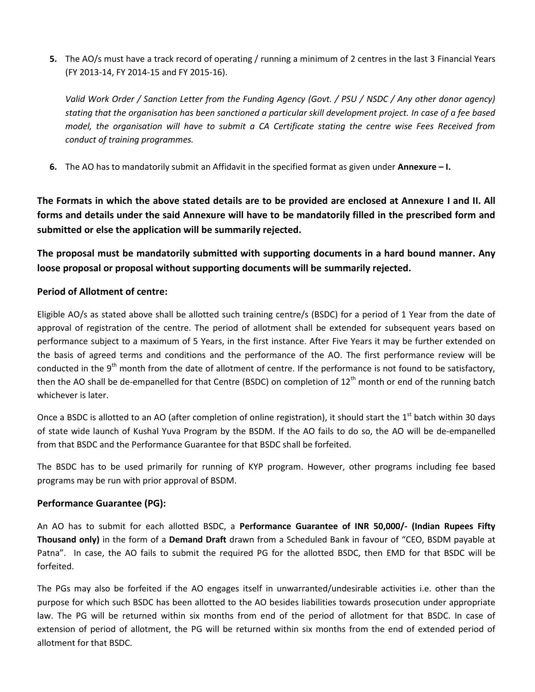**5.** The AO/s must have a track record of operating / running a minimum of 2 centres in the last 3 Financial Years (FY 2013-14, FY 2014-15 and FY 2015-16).

*Valid Work Order / Sanction Letter from the Funding Agency (Govt. / PSU / NSDC / Any other donor agency) stating that the organisation has been sanctioned a particular skill development project. In case of a fee based model, the organisation will have to submit a CA Certificate stating the centre wise Fees Received from conduct of training programmes.*

**6.** The AO has to mandatorily submit an Affidavit in the specified format as given under **Annexure – I.**

**The Formats in which the above stated details are to be provided are enclosed at Annexure I and II. All forms and details under the said Annexure will have to be mandatorily filled in the prescribed form and submitted or else the application will be summarily rejected.**

**The proposal must be mandatorily submitted with supporting documents in a hard bound manner. Any loose proposal or proposal without supporting documents will be summarily rejected.**

## **Period of Allotment of centre:**

Eligible AO/s as stated above shall be allotted such training centre/s (BSDC) for a period of 1 Year from the date of approval of registration of the centre. The period of allotment shall be extended for subsequent years based on performance subject to a maximum of 5 Years, in the first instance. After Five Years it may be further extended on the basis of agreed terms and conditions and the performance of the AO. The first performance review will be conducted in the  $9<sup>th</sup>$  month from the date of allotment of centre. If the performance is not found to be satisfactory, then the AO shall be de-empanelled for that Centre (BSDC) on completion of  $12<sup>th</sup>$  month or end of the running batch whichever is later.

Once a BSDC is allotted to an AO (after completion of online registration), it should start the  $1<sup>st</sup>$  batch within 30 days of state wide launch of Kushal Yuva Program by the BSDM. If the AO fails to do so, the AO will be de-empanelled from that BSDC and the Performance Guarantee for that BSDC shall be forfeited.

The BSDC has to be used primarily for running of KYP program. However, other programs including fee based programs may be run with prior approval of BSDM.

# **Performance Guarantee (PG):**

An AO has to submit for each allotted BSDC, a **Performance Guarantee of INR 50,000/- (Indian Rupees Fifty Thousand only)** in the form of a **Demand Draft** drawn from a Scheduled Bank in favour of "CEO, BSDM payable at Patna". In case, the AO fails to submit the required PG for the allotted BSDC, then EMD for that BSDC will be forfeited.

The PGs may also be forfeited if the AO engages itself in unwarranted/undesirable activities i.e. other than the purpose for which such BSDC has been allotted to the AO besides liabilities towards prosecution under appropriate law. The PG will be returned within six months from end of the period of allotment for that BSDC. In case of extension of period of allotment, the PG will be returned within six months from the end of extended period of allotment for that BSDC.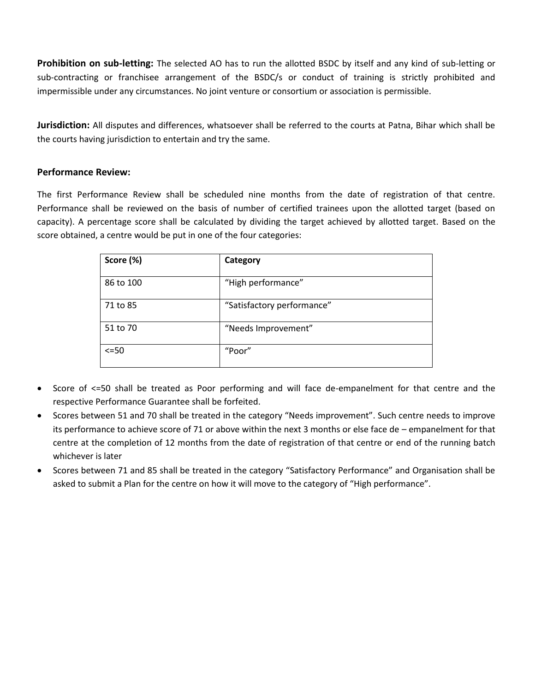**Prohibition on sub-letting:** The selected AO has to run the allotted BSDC by itself and any kind of sub-letting or sub-contracting or franchisee arrangement of the BSDC/s or conduct of training is strictly prohibited and impermissible under any circumstances. No joint venture or consortium or association is permissible.

**Jurisdiction:** All disputes and differences, whatsoever shall be referred to the courts at Patna, Bihar which shall be the courts having jurisdiction to entertain and try the same.

# **Performance Review:**

The first Performance Review shall be scheduled nine months from the date of registration of that centre. Performance shall be reviewed on the basis of number of certified trainees upon the allotted target (based on capacity). A percentage score shall be calculated by dividing the target achieved by allotted target. Based on the score obtained, a centre would be put in one of the four categories:

| Score (%)  | Category                   |
|------------|----------------------------|
| 86 to 100  | "High performance"         |
| 71 to 85   | "Satisfactory performance" |
| 51 to 70   | "Needs Improvement"        |
| $\leq$ =50 | "Poor"                     |

- Score of <=50 shall be treated as Poor performing and will face de-empanelment for that centre and the respective Performance Guarantee shall be forfeited.
- Scores between 51 and 70 shall be treated in the category "Needs improvement". Such centre needs to improve its performance to achieve score of 71 or above within the next 3 months or else face de – empanelment for that centre at the completion of 12 months from the date of registration of that centre or end of the running batch whichever is later
- Scores between 71 and 85 shall be treated in the category "Satisfactory Performance" and Organisation shall be asked to submit a Plan for the centre on how it will move to the category of "High performance".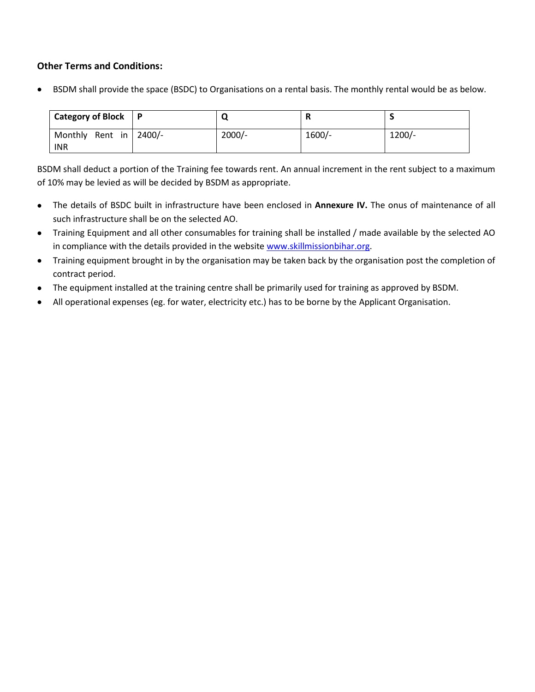# **Other Terms and Conditions:**

BSDM shall provide the space (BSDC) to Organisations on a rental basis. The monthly rental would be as below.

| <b>Category of Block</b>             | $\mathsf{P}$ |          | n        |          |
|--------------------------------------|--------------|----------|----------|----------|
| Monthly Rent in 2400/-<br><b>INR</b> |              | $2000/-$ | $1600/-$ | $1200/-$ |

BSDM shall deduct a portion of the Training fee towards rent. An annual increment in the rent subject to a maximum of 10% may be levied as will be decided by BSDM as appropriate.

- The details of BSDC built in infrastructure have been enclosed in **Annexure IV.** The onus of maintenance of all such infrastructure shall be on the selected AO.
- Training Equipment and all other consumables for training shall be installed / made available by the selected AO in compliance with the details provided in the website [www.skillmissionbihar.org.](http://www.skillmissionbihar.org/)
- Training equipment brought in by the organisation may be taken back by the organisation post the completion of contract period.
- The equipment installed at the training centre shall be primarily used for training as approved by BSDM.
- All operational expenses (eg. for water, electricity etc.) has to be borne by the Applicant Organisation.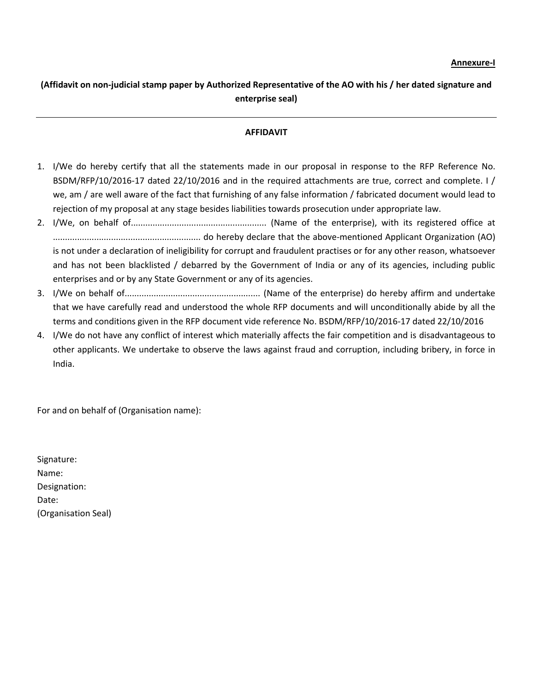# **(Affidavit on non-judicial stamp paper by Authorized Representative of the AO with his / her dated signature and enterprise seal)**

#### **AFFIDAVIT**

- 1. I/We do hereby certify that all the statements made in our proposal in response to the RFP Reference No. BSDM/RFP/10/2016-17 dated 22/10/2016 and in the required attachments are true, correct and complete. I / we, am / are well aware of the fact that furnishing of any false information / fabricated document would lead to rejection of my proposal at any stage besides liabilities towards prosecution under appropriate law.
- 2. I/We, on behalf of........................................................ (Name of the enterprise), with its registered office at ............................................................. do hereby declare that the above-mentioned Applicant Organization (AO) is not under a declaration of ineligibility for corrupt and fraudulent practises or for any other reason, whatsoever and has not been blacklisted / debarred by the Government of India or any of its agencies, including public enterprises and or by any State Government or any of its agencies.
- 3. I/We on behalf of........................................................ (Name of the enterprise) do hereby affirm and undertake that we have carefully read and understood the whole RFP documents and will unconditionally abide by all the terms and conditions given in the RFP document vide reference No. BSDM/RFP/10/2016-17 dated 22/10/2016
- 4. I/We do not have any conflict of interest which materially affects the fair competition and is disadvantageous to other applicants. We undertake to observe the laws against fraud and corruption, including bribery, in force in India.

For and on behalf of (Organisation name):

Signature: Name: Designation: Date: (Organisation Seal)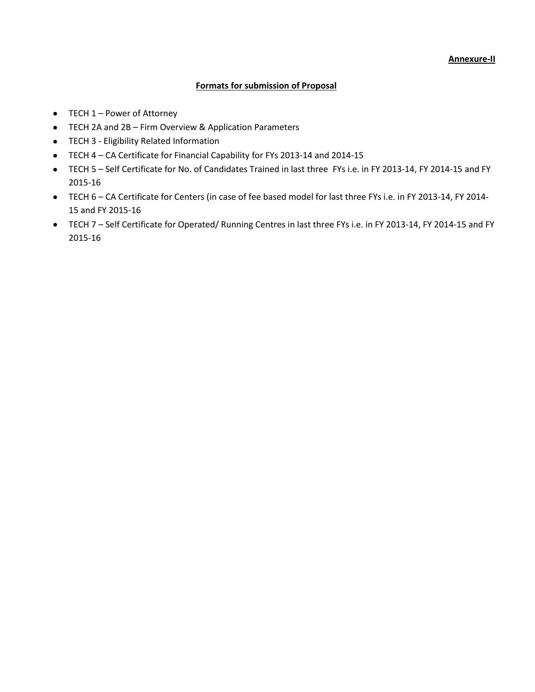### **Formats for submission of Proposal**

- TECH 1 Power of Attorney
- TECH 2A and 2B Firm Overview & Application Parameters
- **•** TECH 3 Eligibility Related Information
- TECH 4 CA Certificate for Financial Capability for FYs 2013-14 and 2014-15
- TECH 5 Self Certificate for No. of Candidates Trained in last three FYs i.e. in FY 2013-14, FY 2014-15 and FY 2015-16
- TECH 6 CA Certificate for Centers (in case of fee based model for last three FYs i.e. in FY 2013-14, FY 2014- 15 and FY 2015-16
- TECH 7 Self Certificate for Operated/ Running Centres in last three FYs i.e. in FY 2013-14, FY 2014-15 and FY 2015-16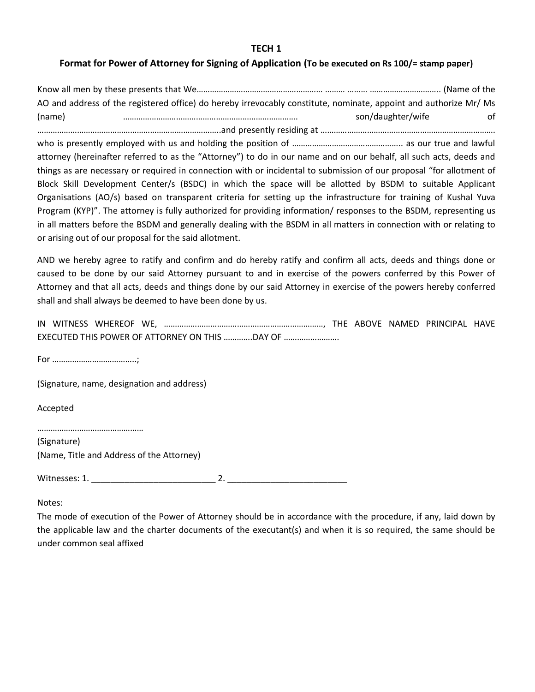#### **TECH 1**

# **Format for Power of Attorney for Signing of Application (To be executed on Rs 100/= stamp paper)**

Know all men by these presents that We………………………………………………… ……… ……… ………………………….. (Name of the AO and address of the registered office) do hereby irrevocably constitute, nominate, appoint and authorize Mr/ Ms (name) ……………………………………………………………………. son/daughter/wife of

………………………………………………………………………..and presently residing at ……………………………………………………………………. who is presently employed with us and holding the position of ………………………………………….. as our true and lawful attorney (hereinafter referred to as the "Attorney") to do in our name and on our behalf, all such acts, deeds and things as are necessary or required in connection with or incidental to submission of our proposal "for allotment of Block Skill Development Center/s (BSDC) in which the space will be allotted by BSDM to suitable Applicant Organisations (AO/s) based on transparent criteria for setting up the infrastructure for training of Kushal Yuva Program (KYP)". The attorney is fully authorized for providing information/ responses to the BSDM, representing us in all matters before the BSDM and generally dealing with the BSDM in all matters in connection with or relating to or arising out of our proposal for the said allotment.

AND we hereby agree to ratify and confirm and do hereby ratify and confirm all acts, deeds and things done or caused to be done by our said Attorney pursuant to and in exercise of the powers conferred by this Power of Attorney and that all acts, deeds and things done by our said Attorney in exercise of the powers hereby conferred shall and shall always be deemed to have been done by us.

|  |  | EXECUTED THIS POWER OF ATTORNEY ON THIS DAY OF |  |  |  |
|--|--|------------------------------------------------|--|--|--|

For ………………………………..;

(Signature, name, designation and address)

Accepted

…………………………………………

(Signature) (Name, Title and Address of the Attorney)

Witnesses: 1. \_\_\_\_\_\_\_\_\_\_\_\_\_\_\_\_\_\_\_\_\_\_\_\_\_\_ 2. \_\_\_\_\_\_\_\_\_\_\_\_\_\_\_\_\_\_\_\_\_\_\_\_\_

Notes:

The mode of execution of the Power of Attorney should be in accordance with the procedure, if any, laid down by the applicable law and the charter documents of the executant(s) and when it is so required, the same should be under common seal affixed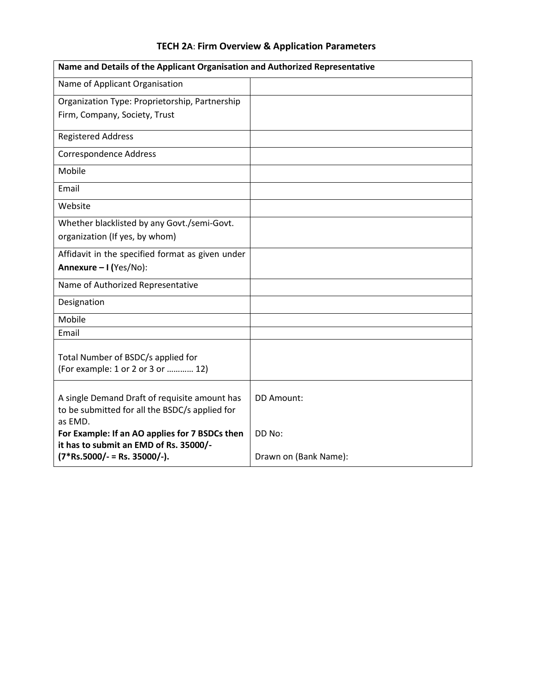| Name and Details of the Applicant Organisation and Authorized Representative                               |                       |  |  |
|------------------------------------------------------------------------------------------------------------|-----------------------|--|--|
| Name of Applicant Organisation                                                                             |                       |  |  |
| Organization Type: Proprietorship, Partnership                                                             |                       |  |  |
| Firm, Company, Society, Trust                                                                              |                       |  |  |
| <b>Registered Address</b>                                                                                  |                       |  |  |
| <b>Correspondence Address</b>                                                                              |                       |  |  |
| Mobile                                                                                                     |                       |  |  |
| Email                                                                                                      |                       |  |  |
| Website                                                                                                    |                       |  |  |
| Whether blacklisted by any Govt./semi-Govt.                                                                |                       |  |  |
| organization (If yes, by whom)                                                                             |                       |  |  |
| Affidavit in the specified format as given under                                                           |                       |  |  |
| Annexure - I (Yes/No):                                                                                     |                       |  |  |
| Name of Authorized Representative                                                                          |                       |  |  |
| Designation                                                                                                |                       |  |  |
| Mobile                                                                                                     |                       |  |  |
| Email                                                                                                      |                       |  |  |
| Total Number of BSDC/s applied for<br>(For example: 1 or 2 or 3 or  12)                                    |                       |  |  |
| A single Demand Draft of requisite amount has<br>to be submitted for all the BSDC/s applied for<br>as EMD. | DD Amount:            |  |  |
| For Example: If an AO applies for 7 BSDCs then<br>it has to submit an EMD of Rs. 35000/-                   | DD No:                |  |  |
| $(7*Rs.5000/- = Rs. 35000/-).$                                                                             | Drawn on (Bank Name): |  |  |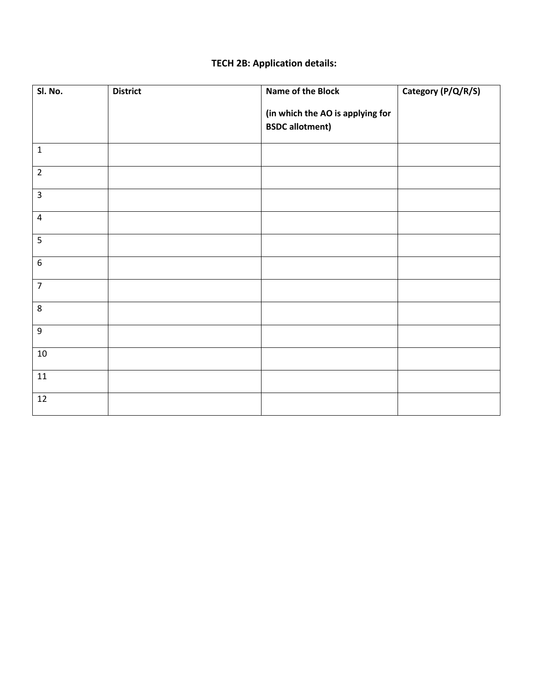# **TECH 2B: Application details:**

| Sl. No.          | <b>District</b> | Name of the Block                                          | Category (P/Q/R/S) |
|------------------|-----------------|------------------------------------------------------------|--------------------|
|                  |                 | (in which the AO is applying for<br><b>BSDC</b> allotment) |                    |
| $\mathbf 1$      |                 |                                                            |                    |
| $\overline{2}$   |                 |                                                            |                    |
| $\overline{3}$   |                 |                                                            |                    |
| $\pmb{4}$        |                 |                                                            |                    |
| 5                |                 |                                                            |                    |
| $\boldsymbol{6}$ |                 |                                                            |                    |
| $\overline{7}$   |                 |                                                            |                    |
| $\,8\,$          |                 |                                                            |                    |
| $\boldsymbol{9}$ |                 |                                                            |                    |
| $10\,$           |                 |                                                            |                    |
| 11               |                 |                                                            |                    |
| $12\,$           |                 |                                                            |                    |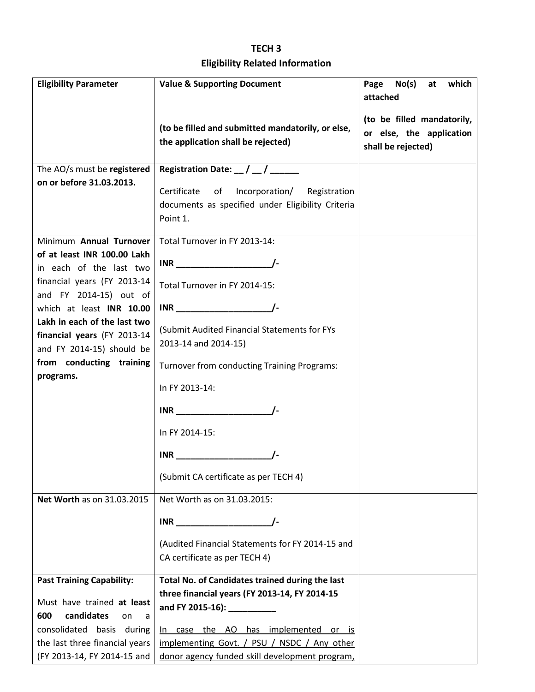# **TECH 3 Eligibility Related Information**

| <b>Eligibility Parameter</b>                                  | <b>Value &amp; Supporting Document</b>                                                           | No(s)<br>which<br>Page<br>at |
|---------------------------------------------------------------|--------------------------------------------------------------------------------------------------|------------------------------|
|                                                               |                                                                                                  | attached                     |
|                                                               | (to be filled and submitted mandatorily, or else,                                                | (to be filled mandatorily,   |
|                                                               | the application shall be rejected)                                                               | or else, the application     |
|                                                               |                                                                                                  | shall be rejected)           |
| The AO/s must be registered                                   | Registration Date: $\frac{1}{2}$ / $\frac{1}{2}$                                                 |                              |
| on or before 31.03.2013.                                      | Certificate<br>of Incorporation/ Registration                                                    |                              |
|                                                               | documents as specified under Eligibility Criteria                                                |                              |
|                                                               | Point 1.                                                                                         |                              |
| Minimum Annual Turnover                                       | Total Turnover in FY 2013-14:                                                                    |                              |
| of at least INR 100.00 Lakh                                   |                                                                                                  |                              |
| in each of the last two<br>financial years (FY 2013-14        |                                                                                                  |                              |
| and FY 2014-15) out of                                        | Total Turnover in FY 2014-15:                                                                    |                              |
| which at least INR 10.00                                      | $INR$ $\qquad \qquad \qquad$                                                                     |                              |
| Lakh in each of the last two                                  | (Submit Audited Financial Statements for FYs                                                     |                              |
| financial years (FY 2013-14<br>and FY 2014-15) should be      | 2013-14 and 2014-15)                                                                             |                              |
| from conducting training                                      | Turnover from conducting Training Programs:                                                      |                              |
| programs.                                                     |                                                                                                  |                              |
|                                                               | In FY 2013-14:                                                                                   |                              |
|                                                               | $INR$ /-                                                                                         |                              |
|                                                               | In FY 2014-15:                                                                                   |                              |
|                                                               | $INR$ $\qquad \qquad \qquad$                                                                     |                              |
|                                                               | (Submit CA certificate as per TECH 4)                                                            |                              |
| Net Worth as on 31.03.2015                                    | Net Worth as on 31.03.2015:                                                                      |                              |
|                                                               |                                                                                                  |                              |
|                                                               | (Audited Financial Statements for FY 2014-15 and                                                 |                              |
|                                                               | CA certificate as per TECH 4)                                                                    |                              |
|                                                               |                                                                                                  |                              |
| <b>Past Training Capability:</b>                              | Total No. of Candidates trained during the last<br>three financial years (FY 2013-14, FY 2014-15 |                              |
| Must have trained at least                                    | and FY 2015-16): ___________                                                                     |                              |
| candidates<br>600<br>on<br>a                                  |                                                                                                  |                              |
| consolidated basis during                                     | In case the AO has implemented or is                                                             |                              |
| the last three financial years<br>(FY 2013-14, FY 2014-15 and | implementing Govt. / PSU / NSDC / Any other<br>donor agency funded skill development program,    |                              |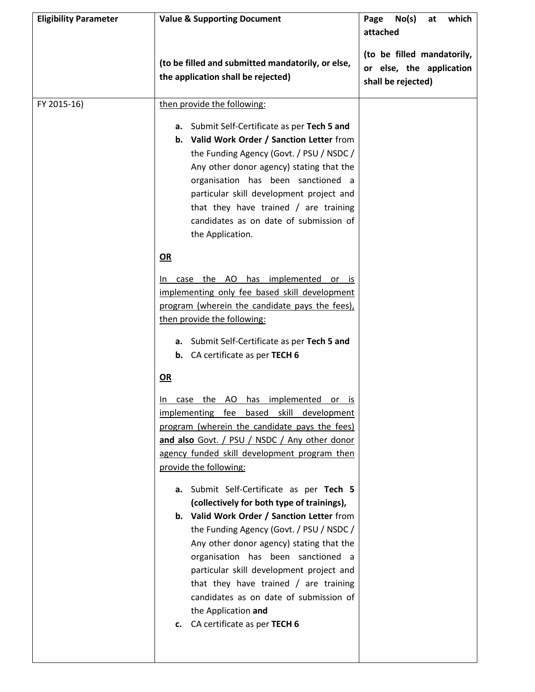| <b>Eligibility Parameter</b> | <b>Value &amp; Supporting Document</b>                                                                                                                                                                                                                                                                                                                                                                                                                                                                                                                                                                                                                                                                                                                                                                                                                                                                                                                                           | No(s)<br>which<br>Page<br>at<br>attached                                     |
|------------------------------|----------------------------------------------------------------------------------------------------------------------------------------------------------------------------------------------------------------------------------------------------------------------------------------------------------------------------------------------------------------------------------------------------------------------------------------------------------------------------------------------------------------------------------------------------------------------------------------------------------------------------------------------------------------------------------------------------------------------------------------------------------------------------------------------------------------------------------------------------------------------------------------------------------------------------------------------------------------------------------|------------------------------------------------------------------------------|
|                              | (to be filled and submitted mandatorily, or else,<br>the application shall be rejected)                                                                                                                                                                                                                                                                                                                                                                                                                                                                                                                                                                                                                                                                                                                                                                                                                                                                                          | (to be filled mandatorily,<br>or else, the application<br>shall be rejected) |
| FY 2015-16)                  | then provide the following:                                                                                                                                                                                                                                                                                                                                                                                                                                                                                                                                                                                                                                                                                                                                                                                                                                                                                                                                                      |                                                                              |
|                              | Submit Self-Certificate as per Tech 5 and<br>а.<br>b. Valid Work Order / Sanction Letter from<br>the Funding Agency (Govt. / PSU / NSDC /<br>Any other donor agency) stating that the<br>organisation has been sanctioned a<br>particular skill development project and<br>that they have trained $/$ are training<br>candidates as on date of submission of<br>the Application.                                                                                                                                                                                                                                                                                                                                                                                                                                                                                                                                                                                                 |                                                                              |
|                              | OR                                                                                                                                                                                                                                                                                                                                                                                                                                                                                                                                                                                                                                                                                                                                                                                                                                                                                                                                                                               |                                                                              |
|                              | case the AO has implemented or is<br>In.<br>implementing only fee based skill development<br>program (wherein the candidate pays the fees),<br>then provide the following:<br>Submit Self-Certificate as per Tech 5 and<br>а.<br><b>b.</b> CA certificate as per TECH 6<br>OR<br>the AO has implemented<br>In.<br><u>case</u><br><u>or</u><br>IS.<br>implementing fee based skill development<br>program (wherein the candidate pays the fees)<br>and also Govt. / PSU / NSDC / Any other donor<br>agency funded skill development program then<br>provide the following:<br>a. Submit Self-Certificate as per Tech 5<br>(collectively for both type of trainings),<br>b. Valid Work Order / Sanction Letter from<br>the Funding Agency (Govt. / PSU / NSDC /<br>Any other donor agency) stating that the<br>organisation has been sanctioned a<br>particular skill development project and<br>that they have trained $/$ are training<br>candidates as on date of submission of |                                                                              |
|                              | the Application and<br>CA certificate as per TECH 6<br>c.                                                                                                                                                                                                                                                                                                                                                                                                                                                                                                                                                                                                                                                                                                                                                                                                                                                                                                                        |                                                                              |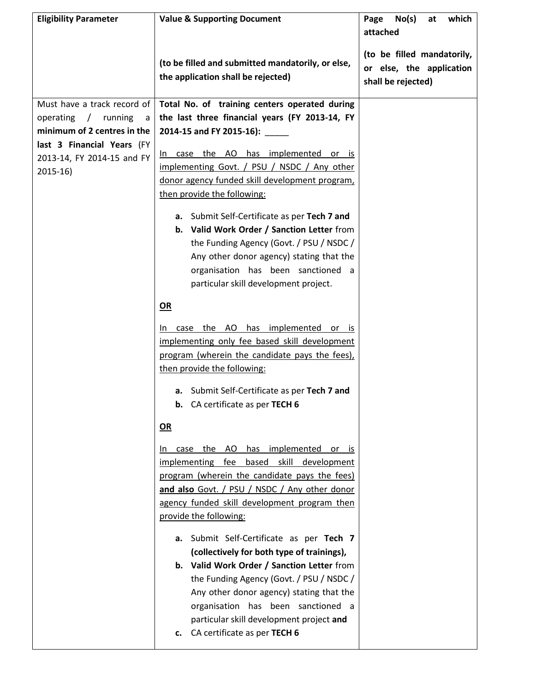| <b>Eligibility Parameter</b> | <b>Value &amp; Supporting Document</b>                                                  | No(s)<br>which<br>Page<br>at                                                 |
|------------------------------|-----------------------------------------------------------------------------------------|------------------------------------------------------------------------------|
|                              |                                                                                         | attached                                                                     |
|                              | (to be filled and submitted mandatorily, or else,<br>the application shall be rejected) | (to be filled mandatorily,<br>or else, the application<br>shall be rejected) |
| Must have a track record of  | Total No. of training centers operated during                                           |                                                                              |
| operating / running<br>a     | the last three financial years (FY 2013-14, FY                                          |                                                                              |
| minimum of 2 centres in the  | 2014-15 and FY 2015-16): ______                                                         |                                                                              |
| last 3 Financial Years (FY   |                                                                                         |                                                                              |
| 2013-14, FY 2014-15 and FY   | In case the AO has implemented or is                                                    |                                                                              |
| $2015-16$                    | implementing Govt. / PSU / NSDC / Any other                                             |                                                                              |
|                              | donor agency funded skill development program,                                          |                                                                              |
|                              | then provide the following:                                                             |                                                                              |
|                              | a. Submit Self-Certificate as per Tech 7 and                                            |                                                                              |
|                              | b. Valid Work Order / Sanction Letter from                                              |                                                                              |
|                              | the Funding Agency (Govt. / PSU / NSDC /                                                |                                                                              |
|                              | Any other donor agency) stating that the                                                |                                                                              |
|                              | organisation has been sanctioned a                                                      |                                                                              |
|                              | particular skill development project.                                                   |                                                                              |
|                              | $OR$                                                                                    |                                                                              |
|                              | case the AO has implemented or is<br>In.                                                |                                                                              |
|                              | implementing only fee based skill development                                           |                                                                              |
|                              | program (wherein the candidate pays the fees),                                          |                                                                              |
|                              | then provide the following:                                                             |                                                                              |
|                              | a. Submit Self-Certificate as per Tech 7 and                                            |                                                                              |
|                              | <b>b.</b> CA certificate as per TECH 6                                                  |                                                                              |
|                              | $OR$                                                                                    |                                                                              |
|                              | has implemented<br>the AO<br>case<br>or is<br>In.                                       |                                                                              |
|                              | implementing fee based skill development                                                |                                                                              |
|                              | program (wherein the candidate pays the fees)                                           |                                                                              |
|                              | and also Govt. / PSU / NSDC / Any other donor                                           |                                                                              |
|                              | agency funded skill development program then                                            |                                                                              |
|                              | provide the following:                                                                  |                                                                              |
|                              | Submit Self-Certificate as per Tech 7<br>а.                                             |                                                                              |
|                              | (collectively for both type of trainings),                                              |                                                                              |
|                              | b. Valid Work Order / Sanction Letter from                                              |                                                                              |
|                              | the Funding Agency (Govt. / PSU / NSDC /                                                |                                                                              |
|                              | Any other donor agency) stating that the                                                |                                                                              |
|                              | organisation has been sanctioned a                                                      |                                                                              |
|                              | particular skill development project and                                                |                                                                              |
|                              | c. CA certificate as per TECH 6                                                         |                                                                              |
|                              |                                                                                         |                                                                              |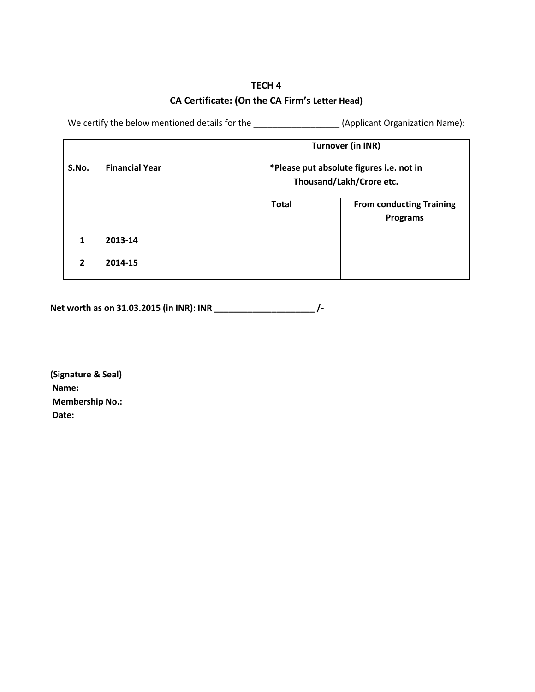# **TECH 4 CA Certificate: (On the CA Firm's Letter Head)**

We certify the below mentioned details for the \_\_\_\_\_\_\_\_\_\_\_\_\_\_\_\_\_\_\_\_(Applicant Organization Name):

|              |                       | <b>Turnover (in INR)</b>                                             |                                                    |  |  |  |
|--------------|-----------------------|----------------------------------------------------------------------|----------------------------------------------------|--|--|--|
| S.No.        | <b>Financial Year</b> | *Please put absolute figures i.e. not in<br>Thousand/Lakh/Crore etc. |                                                    |  |  |  |
|              |                       | <b>Total</b>                                                         | <b>From conducting Training</b><br><b>Programs</b> |  |  |  |
| 1            | 2013-14               |                                                                      |                                                    |  |  |  |
| $\mathbf{2}$ | 2014-15               |                                                                      |                                                    |  |  |  |

 **Net worth as on 31.03.2015 (in INR): INR \_\_\_\_\_\_\_\_\_\_\_\_\_\_\_\_\_\_\_\_\_ /-**

 **(Signature & Seal) Name: Membership No.: Date:**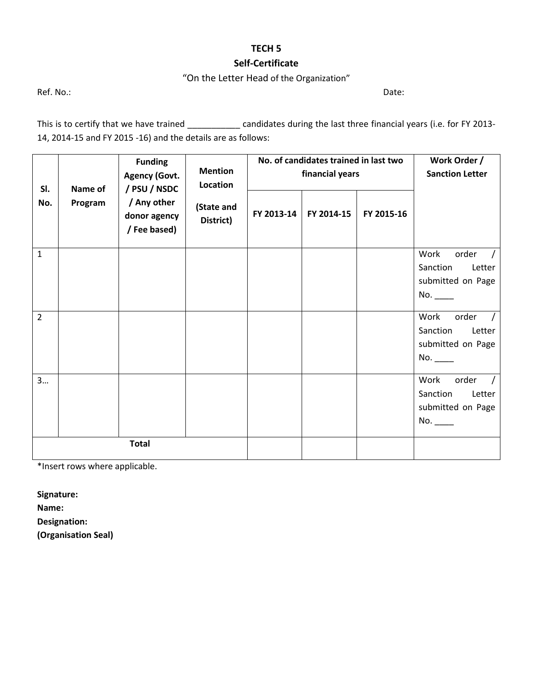# **TECH 5**

## **Self-Certificate**

# "On the Letter Head of the Organization"

Ref. No.: Date:

This is to certify that we have trained \_\_\_\_\_\_\_\_\_\_\_\_ candidates during the last three financial years (i.e. for FY 2013-14, 2014-15 and FY 2015 -16) and the details are as follows:

| SI.            |         | <b>Funding</b><br><b>Agency (Govt.</b>      | <b>Mention</b><br>Location<br>/ PSU / NSDC<br>Name of |            | No. of candidates trained in last two<br>financial years |            |                                                                 | Work Order /<br><b>Sanction Letter</b> |
|----------------|---------|---------------------------------------------|-------------------------------------------------------|------------|----------------------------------------------------------|------------|-----------------------------------------------------------------|----------------------------------------|
| No.            | Program | / Any other<br>donor agency<br>/ Fee based) | (State and<br>District)                               | FY 2013-14 | FY 2014-15                                               | FY 2015-16 |                                                                 |                                        |
| $\mathbf{1}$   |         |                                             |                                                       |            |                                                          |            | Work<br>order<br>Sanction<br>Letter<br>submitted on Page<br>No. |                                        |
| $\overline{2}$ |         |                                             |                                                       |            |                                                          |            | Work<br>order<br>Sanction<br>Letter<br>submitted on Page<br>No. |                                        |
| 3              |         | <b>Total</b>                                |                                                       |            |                                                          |            | Work<br>order<br>Sanction<br>Letter<br>submitted on Page<br>No. |                                        |

\*Insert rows where applicable.

**Signature:**

**Name:**

**Designation:** 

**(Organisation Seal)**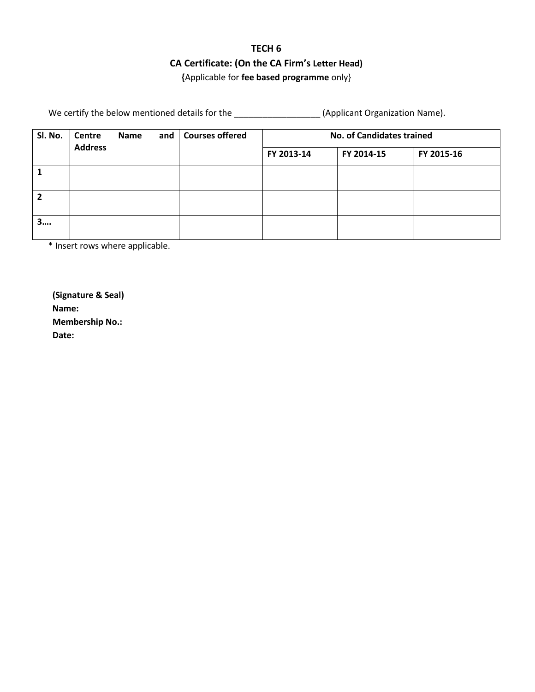# **TECH 6 CA Certificate: (On the CA Firm's Letter Head) {**Applicable for **fee based programme** only}

We certify the below mentioned details for the \_\_\_\_\_\_\_\_\_\_\_\_\_\_\_\_\_\_\_\_\_(Applicant Organization Name).

| SI. No. | <b>Centre</b><br><b>Address</b> | Name | and | <b>Courses offered</b> | <b>No. of Candidates trained</b> |            |  |
|---------|---------------------------------|------|-----|------------------------|----------------------------------|------------|--|
|         |                                 |      |     | FY 2013-14             | FY 2014-15                       | FY 2015-16 |  |
|         |                                 |      |     |                        |                                  |            |  |
|         |                                 |      |     |                        |                                  |            |  |
| 3….     |                                 |      |     |                        |                                  |            |  |

\* Insert rows where applicable.

 **(Signature & Seal) Name: Membership No.: Date:**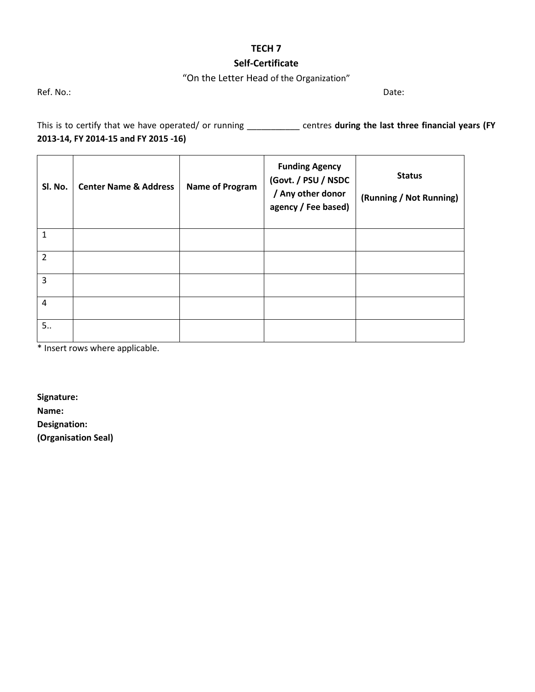# **TECH 7**

# **Self-Certificate**

# "On the Letter Head of the Organization"

Ref. No.: Date:

This is to certify that we have operated/ or running \_\_\_\_\_\_\_\_\_\_\_ centres **during the last three financial years (FY 2013-14, FY 2014-15 and FY 2015 -16)**

| SI. No.        | <b>Center Name &amp; Address</b> | <b>Name of Program</b> | <b>Funding Agency</b><br>(Govt. / PSU / NSDC<br>/ Any other donor<br>agency / Fee based) | <b>Status</b><br>(Running / Not Running) |
|----------------|----------------------------------|------------------------|------------------------------------------------------------------------------------------|------------------------------------------|
| $\mathbf{1}$   |                                  |                        |                                                                                          |                                          |
| $\overline{2}$ |                                  |                        |                                                                                          |                                          |
| 3              |                                  |                        |                                                                                          |                                          |
| 4              |                                  |                        |                                                                                          |                                          |
| 5              |                                  |                        |                                                                                          |                                          |

\* Insert rows where applicable.

**Signature:**

**Name:**

**Designation:** 

**(Organisation Seal)**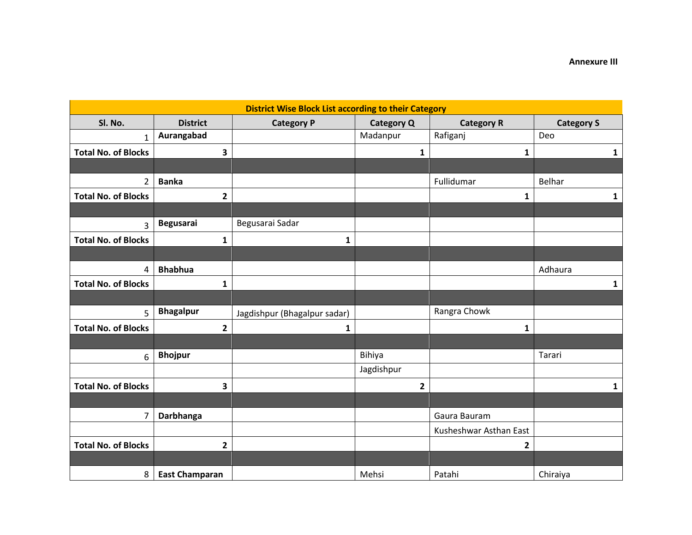| <b>District Wise Block List according to their Category</b> |                       |                              |                   |                        |                   |  |
|-------------------------------------------------------------|-----------------------|------------------------------|-------------------|------------------------|-------------------|--|
| Sl. No.                                                     | <b>District</b>       | <b>Category P</b>            | <b>Category Q</b> | <b>Category R</b>      | <b>Category S</b> |  |
| $\mathbf{1}$                                                | Aurangabad            |                              | Madanpur          | Rafiganj               | Deo               |  |
| <b>Total No. of Blocks</b>                                  | 3                     |                              | $\mathbf{1}$      | 1                      | $\mathbf{1}$      |  |
|                                                             |                       |                              |                   |                        |                   |  |
| $\overline{2}$                                              | <b>Banka</b>          |                              |                   | Fullidumar             | Belhar            |  |
| <b>Total No. of Blocks</b>                                  | 2                     |                              |                   | 1                      | $\mathbf{1}$      |  |
|                                                             |                       |                              |                   |                        |                   |  |
| 3                                                           | <b>Begusarai</b>      | Begusarai Sadar              |                   |                        |                   |  |
| <b>Total No. of Blocks</b>                                  | 1                     | $\mathbf{1}$                 |                   |                        |                   |  |
|                                                             |                       |                              |                   |                        |                   |  |
| 4                                                           | <b>Bhabhua</b>        |                              |                   |                        | Adhaura           |  |
| <b>Total No. of Blocks</b>                                  | 1                     |                              |                   |                        | $\mathbf{1}$      |  |
|                                                             |                       |                              |                   |                        |                   |  |
| $\overline{5}$                                              | <b>Bhagalpur</b>      | Jagdishpur (Bhagalpur sadar) |                   | Rangra Chowk           |                   |  |
| <b>Total No. of Blocks</b>                                  | $\mathbf{2}$          | 1                            |                   | 1                      |                   |  |
|                                                             |                       |                              |                   |                        |                   |  |
| 6                                                           | <b>Bhojpur</b>        |                              | Bihiya            |                        | Tarari            |  |
|                                                             |                       |                              | Jagdishpur        |                        |                   |  |
| <b>Total No. of Blocks</b>                                  | 3                     |                              | 2                 |                        | $\mathbf{1}$      |  |
|                                                             |                       |                              |                   |                        |                   |  |
| $\overline{7}$                                              | Darbhanga             |                              |                   | Gaura Bauram           |                   |  |
|                                                             |                       |                              |                   | Kusheshwar Asthan East |                   |  |
| <b>Total No. of Blocks</b>                                  | 2                     |                              |                   | 2                      |                   |  |
|                                                             |                       |                              |                   |                        |                   |  |
| 8                                                           | <b>East Champaran</b> |                              | Mehsi             | Patahi                 | Chiraiya          |  |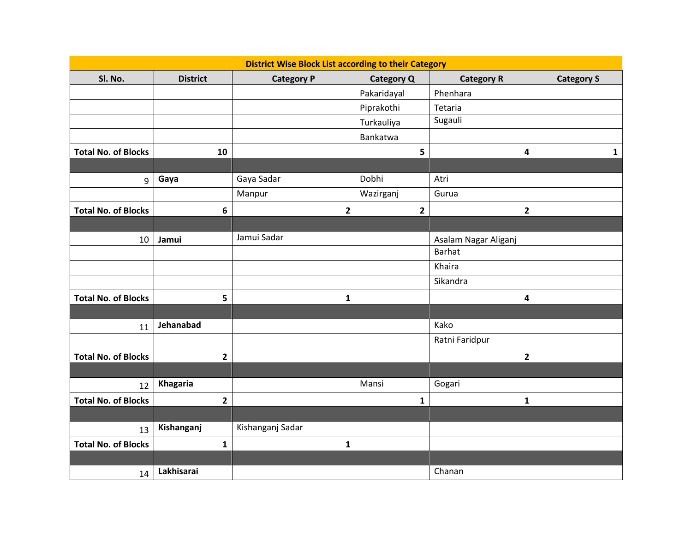| <b>District Wise Block List according to their Category</b> |                 |                   |                   |                         |                   |
|-------------------------------------------------------------|-----------------|-------------------|-------------------|-------------------------|-------------------|
| Sl. No.                                                     | <b>District</b> | <b>Category P</b> | <b>Category Q</b> | <b>Category R</b>       | <b>Category S</b> |
|                                                             |                 |                   | Pakaridayal       | Phenhara                |                   |
|                                                             |                 |                   | Piprakothi        | Tetaria                 |                   |
|                                                             |                 |                   | Turkauliya        | Sugauli                 |                   |
|                                                             |                 |                   | Bankatwa          |                         |                   |
| <b>Total No. of Blocks</b>                                  | 10              |                   | 5                 | 4                       | 1                 |
|                                                             |                 |                   |                   |                         |                   |
| 9                                                           | Gaya            | Gaya Sadar        | Dobhi             | Atri                    |                   |
|                                                             |                 | Manpur            | Wazirganj         | Gurua                   |                   |
| <b>Total No. of Blocks</b>                                  | $\bf 6$         | 2                 | 2                 | $\mathbf{2}$            |                   |
|                                                             |                 |                   |                   |                         |                   |
| 10                                                          | Jamui           | Jamui Sadar       |                   | Asalam Nagar Aliganj    |                   |
|                                                             |                 |                   |                   | <b>Barhat</b>           |                   |
|                                                             |                 |                   |                   | Khaira                  |                   |
|                                                             |                 |                   |                   | Sikandra                |                   |
| <b>Total No. of Blocks</b>                                  | 5               | $\mathbf{1}$      |                   | $\overline{\mathbf{4}}$ |                   |
|                                                             |                 |                   |                   |                         |                   |
| 11                                                          | Jehanabad       |                   |                   | Kako                    |                   |
|                                                             |                 |                   |                   | Ratni Faridpur          |                   |
| <b>Total No. of Blocks</b>                                  | $\mathbf{2}$    |                   |                   | $\overline{\mathbf{2}}$ |                   |
|                                                             |                 |                   |                   |                         |                   |
| 12                                                          | Khagaria        |                   | Mansi             | Gogari                  |                   |
| <b>Total No. of Blocks</b>                                  | $\overline{2}$  |                   | $\mathbf{1}$      | $\mathbf{1}$            |                   |
|                                                             |                 |                   |                   |                         |                   |
| 13                                                          | Kishanganj      | Kishanganj Sadar  |                   |                         |                   |
| <b>Total No. of Blocks</b>                                  | $\mathbf{1}$    | $\mathbf{1}$      |                   |                         |                   |
|                                                             |                 |                   |                   |                         |                   |
| 14                                                          | Lakhisarai      |                   |                   | Chanan                  |                   |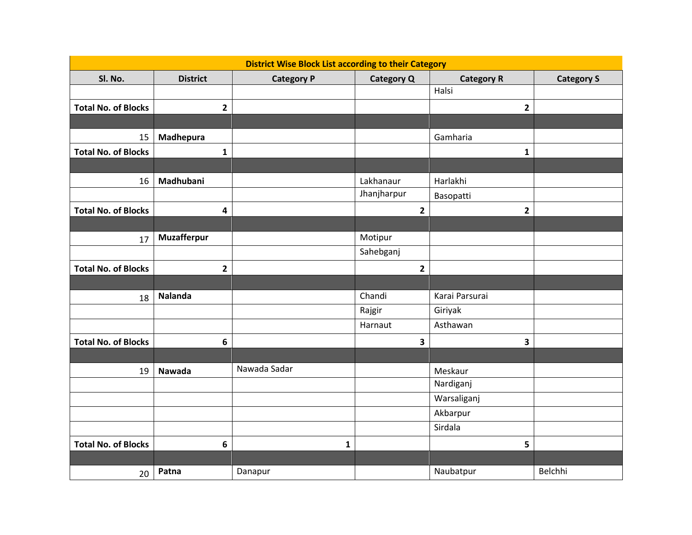|                            | <b>District Wise Block List according to their Category</b> |                   |                   |                   |                   |  |
|----------------------------|-------------------------------------------------------------|-------------------|-------------------|-------------------|-------------------|--|
| Sl. No.                    | <b>District</b>                                             | <b>Category P</b> | <b>Category Q</b> | <b>Category R</b> | <b>Category S</b> |  |
|                            |                                                             |                   |                   | Halsi             |                   |  |
| <b>Total No. of Blocks</b> | $\mathbf{2}$                                                |                   |                   | $\overline{2}$    |                   |  |
|                            |                                                             |                   |                   |                   |                   |  |
| 15                         | Madhepura                                                   |                   |                   | Gamharia          |                   |  |
| <b>Total No. of Blocks</b> | $\mathbf{1}$                                                |                   |                   | $\mathbf{1}$      |                   |  |
|                            |                                                             |                   |                   |                   |                   |  |
| 16                         | Madhubani                                                   |                   | Lakhanaur         | Harlakhi          |                   |  |
|                            |                                                             |                   | Jhanjharpur       | Basopatti         |                   |  |
| <b>Total No. of Blocks</b> | $\overline{\mathbf{4}}$                                     |                   | $\overline{2}$    | $\overline{2}$    |                   |  |
|                            |                                                             |                   |                   |                   |                   |  |
| 17                         | <b>Muzafferpur</b>                                          |                   | Motipur           |                   |                   |  |
|                            |                                                             |                   | Sahebganj         |                   |                   |  |
| <b>Total No. of Blocks</b> | $\mathbf{2}$                                                |                   | $\overline{2}$    |                   |                   |  |
|                            |                                                             |                   |                   |                   |                   |  |
| 18                         | <b>Nalanda</b>                                              |                   | Chandi            | Karai Parsurai    |                   |  |
|                            |                                                             |                   | Rajgir            | Giriyak           |                   |  |
|                            |                                                             |                   | Harnaut           | Asthawan          |                   |  |
| <b>Total No. of Blocks</b> | 6                                                           |                   | 3                 | 3                 |                   |  |
|                            |                                                             |                   |                   |                   |                   |  |
| 19                         | <b>Nawada</b>                                               | Nawada Sadar      |                   | Meskaur           |                   |  |
|                            |                                                             |                   |                   | Nardiganj         |                   |  |
|                            |                                                             |                   |                   | Warsaliganj       |                   |  |
|                            |                                                             |                   |                   | Akbarpur          |                   |  |
|                            |                                                             |                   |                   | Sirdala           |                   |  |
| <b>Total No. of Blocks</b> | $6\phantom{1}$                                              | 1                 |                   | 5                 |                   |  |
|                            |                                                             |                   |                   |                   |                   |  |
| 20                         | Patna                                                       | Danapur           |                   | Naubatpur         | Belchhi           |  |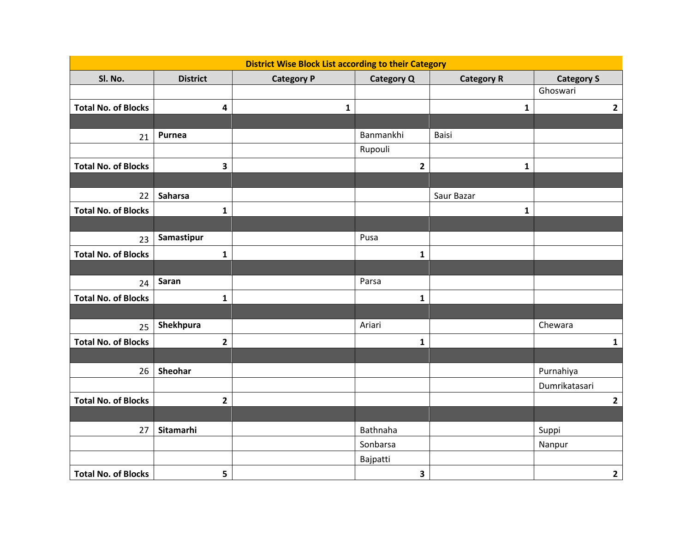| <b>District Wise Block List according to their Category</b> |                 |                   |                   |                   |                   |
|-------------------------------------------------------------|-----------------|-------------------|-------------------|-------------------|-------------------|
| Sl. No.                                                     | <b>District</b> | <b>Category P</b> | <b>Category Q</b> | <b>Category R</b> | <b>Category S</b> |
|                                                             |                 |                   |                   |                   | Ghoswari          |
| <b>Total No. of Blocks</b>                                  | $\pmb{4}$       | 1                 |                   | $\mathbf{1}$      | $\mathbf{2}$      |
|                                                             |                 |                   |                   |                   |                   |
| 21                                                          | Purnea          |                   | Banmankhi         | Baisi             |                   |
|                                                             |                 |                   | Rupouli           |                   |                   |
| <b>Total No. of Blocks</b>                                  | 3               |                   | $\overline{2}$    | $\mathbf{1}$      |                   |
|                                                             |                 |                   |                   |                   |                   |
| 22                                                          | Saharsa         |                   |                   | Saur Bazar        |                   |
| <b>Total No. of Blocks</b>                                  | $\mathbf{1}$    |                   |                   | $\mathbf{1}$      |                   |
|                                                             |                 |                   |                   |                   |                   |
| 23                                                          | Samastipur      |                   | Pusa              |                   |                   |
| <b>Total No. of Blocks</b>                                  | $\mathbf{1}$    |                   | $\mathbf{1}$      |                   |                   |
|                                                             |                 |                   |                   |                   |                   |
| 24                                                          | Saran           |                   | Parsa             |                   |                   |
| <b>Total No. of Blocks</b>                                  | $\mathbf{1}$    |                   | $\mathbf{1}$      |                   |                   |
|                                                             |                 |                   |                   |                   |                   |
| 25                                                          | Shekhpura       |                   | Ariari            |                   | Chewara           |
| <b>Total No. of Blocks</b>                                  | $\overline{2}$  |                   | $\mathbf{1}$      |                   | $\mathbf{1}$      |
|                                                             |                 |                   |                   |                   |                   |
| 26                                                          | Sheohar         |                   |                   |                   | Purnahiya         |
|                                                             |                 |                   |                   |                   | Dumrikatasari     |
| <b>Total No. of Blocks</b>                                  | $\overline{2}$  |                   |                   |                   | $\mathbf{2}$      |
|                                                             |                 |                   |                   |                   |                   |
| 27                                                          | Sitamarhi       |                   | Bathnaha          |                   | Suppi             |
|                                                             |                 |                   | Sonbarsa          |                   | Nanpur            |
|                                                             |                 |                   | Bajpatti          |                   |                   |
| <b>Total No. of Blocks</b>                                  | 5               |                   | 3                 |                   | $\overline{2}$    |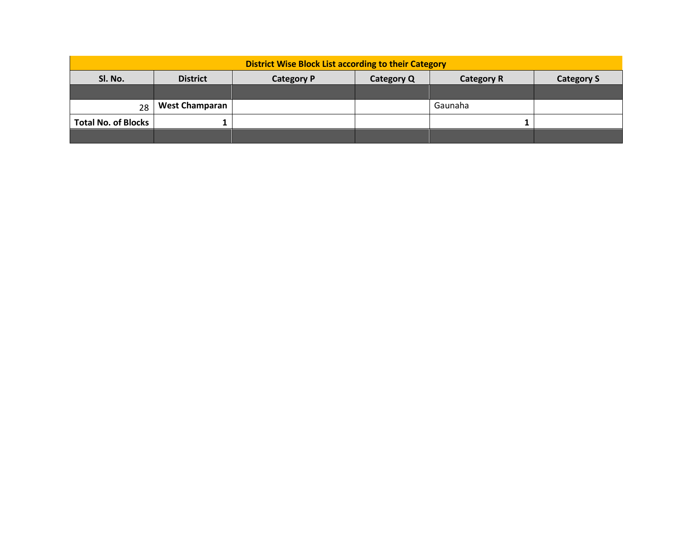| <b>District Wise Block List according to their Category</b> |                       |                   |            |                   |                   |  |
|-------------------------------------------------------------|-----------------------|-------------------|------------|-------------------|-------------------|--|
| SI. No.                                                     | <b>District</b>       | <b>Category P</b> | Category Q | <b>Category R</b> | <b>Category S</b> |  |
|                                                             |                       |                   |            |                   |                   |  |
| 28                                                          | <b>West Champaran</b> |                   |            | Gaunaha           |                   |  |
| <b>Total No. of Blocks</b>                                  |                       |                   |            |                   |                   |  |
|                                                             |                       |                   |            |                   |                   |  |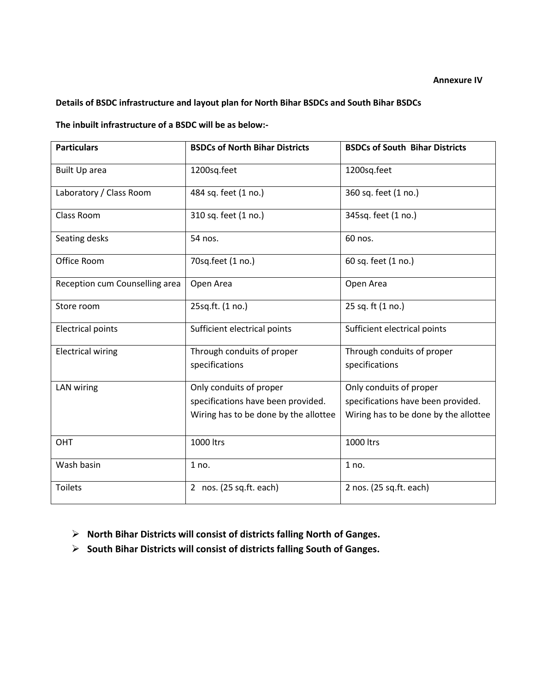#### **Annexure IV**

# **Details of BSDC infrastructure and layout plan for North Bihar BSDCs and South Bihar BSDCs**

**The inbuilt infrastructure of a BSDC will be as below:-**

| <b>Particulars</b>             | <b>BSDCs of North Bihar Districts</b> | <b>BSDCs of South Bihar Districts</b> |
|--------------------------------|---------------------------------------|---------------------------------------|
| <b>Built Up area</b>           | 1200sq.feet                           | 1200sq.feet                           |
| Laboratory / Class Room        | 484 sq. feet (1 no.)                  | 360 sq. feet (1 no.)                  |
| Class Room                     | 310 sq. feet (1 no.)                  | 345sq. feet (1 no.)                   |
| Seating desks                  | 54 nos.                               | 60 nos.                               |
| Office Room                    | 70sq.feet (1 no.)                     | 60 sq. feet (1 no.)                   |
| Reception cum Counselling area | Open Area                             | Open Area                             |
| Store room                     | 25sq.ft. (1 no.)                      | 25 sq. ft (1 no.)                     |
| <b>Electrical points</b>       | Sufficient electrical points          | Sufficient electrical points          |
| <b>Electrical wiring</b>       | Through conduits of proper            | Through conduits of proper            |
|                                | specifications                        | specifications                        |
| <b>LAN</b> wiring              | Only conduits of proper               | Only conduits of proper               |
|                                | specifications have been provided.    | specifications have been provided.    |
|                                | Wiring has to be done by the allottee | Wiring has to be done by the allottee |
| OHT                            | 1000 ltrs                             | 1000 ltrs                             |
| Wash basin                     | 1 no.                                 | 1 no.                                 |
| <b>Toilets</b>                 | 2 nos. (25 sq.ft. each)               | 2 nos. (25 sq.ft. each)               |

- **North Bihar Districts will consist of districts falling North of Ganges.**
- **South Bihar Districts will consist of districts falling South of Ganges.**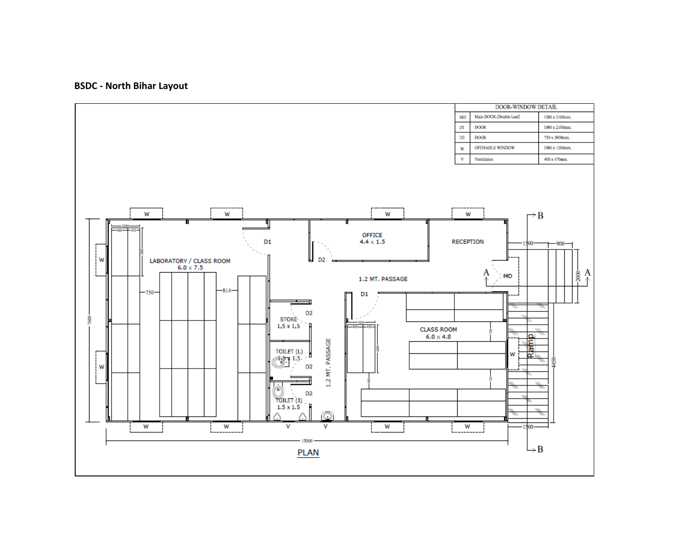# **BSDC - North Bihar Layout**